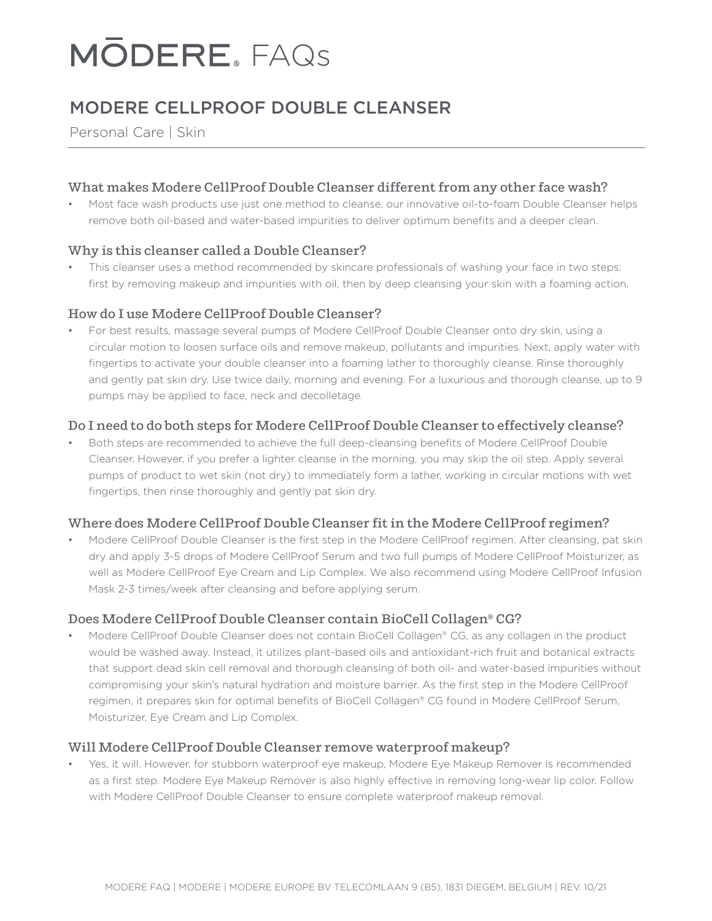# **MODERE, FAQS**

# MODERE CELLPROOF DOUBLE CLEANSER

Personal Care | Skin

#### What makes Modere CellProof Double Cleanser different from any other face wash?

• Most face wash products use just one method to cleanse, our innovative oil-to-foam Double Cleanser helps remove both oil-based and water-based impurities to deliver optimum benefits and a deeper clean.

### Why is this cleanser called a Double Cleanser?

This cleanser uses a method recommended by skincare professionals of washing your face in two steps: first by removing makeup and impurities with oil, then by deep cleansing your skin with a foaming action.

# How do I use Modere CellProof Double Cleanser?

• For best results, massage several pumps of Modere CellProof Double Cleanser onto dry skin, using a circular motion to loosen surface oils and remove makeup, pollutants and impurities. Next, apply water with fingertips to activate your double cleanser into a foaming lather to thoroughly cleanse. Rinse thoroughly and gently pat skin dry. Use twice daily, morning and evening. For a luxurious and thorough cleanse, up to 9 pumps may be applied to face, neck and decolletage.

# Do I need to do both steps for Modere CellProof Double Cleanser to effectively cleanse?

• Both steps are recommended to achieve the full deep-cleansing benefits of Modere CellProof Double Cleanser. However, if you prefer a lighter cleanse in the morning, you may skip the oil step. Apply several pumps of product to wet skin (not dry) to immediately form a lather, working in circular motions with wet fingertips, then rinse thoroughly and gently pat skin dry.

#### Where does Modere CellProof Double Cleanser fit in the Modere CellProof regimen?

• Modere CellProof Double Cleanser is the first step in the Modere CellProof regimen. After cleansing, pat skin dry and apply 3-5 drops of Modere CellProof Serum and two full pumps of Modere CellProof Moisturizer, as well as Modere CellProof Eye Cream and Lip Complex. We also recommend using Modere CellProof Infusion Mask 2-3 times/week after cleansing and before applying serum.

#### Does Modere CellProof Double Cleanser contain BioCell Collagen® CG?

• Modere CellProof Double Cleanser does not contain BioCell Collagen® CG, as any collagen in the product would be washed away. Instead, it utilizes plant-based oils and antioxidant-rich fruit and botanical extracts that support dead skin cell removal and thorough cleansing of both oil- and water-based impurities without compromising your skin's natural hydration and moisture barrier. As the first step in the Modere CellProof regimen, it prepares skin for optimal benefits of BioCell Collagen® CG found in Modere CellProof Serum, Moisturizer, Eye Cream and Lip Complex.

#### Will Modere CellProof Double Cleanser remove waterproof makeup?

• Yes, it will. However, for stubborn waterproof eye makeup, Modere Eye Makeup Remover is recommended as a first step. Modere Eye Makeup Remover is also highly effective in removing long-wear lip color. Follow with Modere CellProof Double Cleanser to ensure complete waterproof makeup removal.